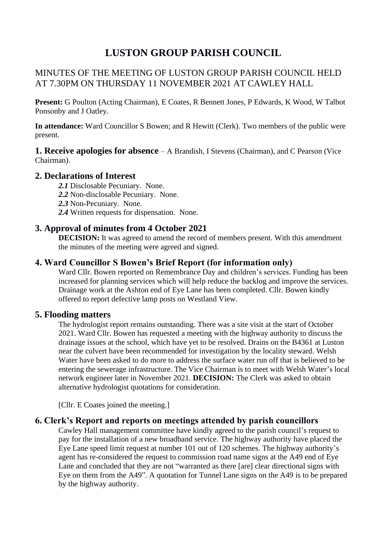# **LUSTON GROUP PARISH COUNCIL**

# MINUTES OF THE MEETING OF LUSTON GROUP PARISH COUNCIL HELD AT 7.30PM ON THURSDAY 11 NOVEMBER 2021 AT CAWLEY HALL

**Present:** G Poulton (Acting Chairman), E Coates, R Bennett Jones, P Edwards, K Wood, W Talbot Ponsonby and J Oatley.

**In attendance:** Ward Councillor S Bowen; and R Hewitt (Clerk). Two members of the public were present.

**1. Receive apologies for absence** – A Brandish, I Stevens (Chairman), and C Pearson (Vice Chairman).

# **2. Declarations of Interest**

- *2.1* Disclosable Pecuniary. None.
- *2.2* Non-disclosable Pecuniary. None.
- *2.3* Non-Pecuniary. None.
- *2.4* Written requests for dispensation. None.

# **3. Approval of minutes from 4 October 2021**

**DECISION:** It was agreed to amend the record of members present. With this amendment the minutes of the meeting were agreed and signed.

#### **4. Ward Councillor S Bowen's Brief Report (for information only)**

Ward Cllr. Bowen reported on Remembrance Day and children's services. Funding has been increased for planning services which will help reduce the backlog and improve the services. Drainage work at the Ashton end of Eye Lane has been completed. Cllr. Bowen kindly offered to report defective lamp posts on Westland View.

#### **5. Flooding matters**

The hydrologist report remains outstanding. There was a site visit at the start of October 2021. Ward Cllr. Bowen has requested a meeting with the highway authority to discuss the drainage issues at the school, which have yet to be resolved. Drains on the B4361 at Luston near the culvert have been recommended for investigation by the locality steward. Welsh Water have been asked to do more to address the surface water run off that is believed to be entering the sewerage infrastructure. The Vice Chairman is to meet with Welsh Water's local network engineer later in November 2021. **DECISION:** The Clerk was asked to obtain alternative hydrologist quotations for consideration.

[Cllr. E Coates joined the meeting.]

#### **6. Clerk's Report and reports on meetings attended by parish councillors**

Cawley Hall management committee have kindly agreed to the parish council's request to pay for the installation of a new broadband service. The highway authority have placed the Eye Lane speed limit request at number 101 out of 120 schemes. The highway authority's agent has re-considered the request to commission road name signs at the A49 end of Eye Lane and concluded that they are not "warranted as there [are] clear directional signs with Eye on them from the A49". A quotation for Tunnel Lane signs on the A49 is to be prepared by the highway authority.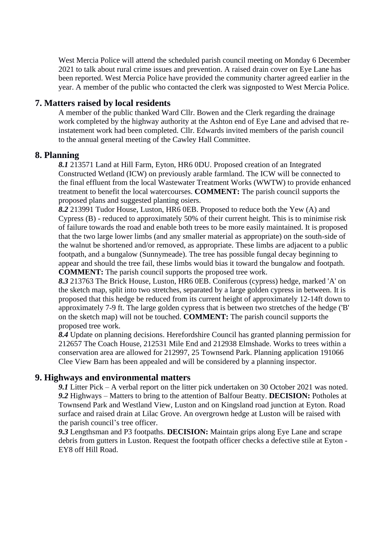West Mercia Police will attend the scheduled parish council meeting on Monday 6 December 2021 to talk about rural crime issues and prevention. A raised drain cover on Eye Lane has been reported. West Mercia Police have provided the community charter agreed earlier in the year. A member of the public who contacted the clerk was signposted to West Mercia Police.

#### **7. Matters raised by local residents**

A member of the public thanked Ward Cllr. Bowen and the Clerk regarding the drainage work completed by the highway authority at the Ashton end of Eye Lane and advised that reinstatement work had been completed. Cllr. Edwards invited members of the parish council to the annual general meeting of the Cawley Hall Committee.

#### **8. Planning**

*8.1* 213571 Land at Hill Farm, Eyton, HR6 0DU. Proposed creation of an Integrated Constructed Wetland (ICW) on previously arable farmland. The ICW will be connected to the final effluent from the local Wastewater Treatment Works (WWTW) to provide enhanced treatment to benefit the local watercourses. **COMMENT:** The parish council supports the proposed plans and suggested planting osiers.

*8.2* 213991 Tudor House, Luston, HR6 0EB. Proposed to reduce both the Yew (A) and Cypress (B) - reduced to approximately 50% of their current height. This is to minimise risk of failure towards the road and enable both trees to be more easily maintained. It is proposed that the two large lower limbs (and any smaller material as appropriate) on the south-side of the walnut be shortened and/or removed, as appropriate. These limbs are adjacent to a public footpath, and a bungalow (Sunnymeade). The tree has possible fungal decay beginning to appear and should the tree fail, these limbs would bias it toward the bungalow and footpath. **COMMENT:** The parish council supports the proposed tree work.

*8.3* 213763 The Brick House, Luston, HR6 0EB. Coniferous (cypress) hedge, marked 'A' on the sketch map, split into two stretches, separated by a large golden cypress in between. It is proposed that this hedge be reduced from its current height of approximately 12-14ft down to approximately 7-9 ft. The large golden cypress that is between two stretches of the hedge ('B' on the sketch map) will not be touched. **COMMENT:** The parish council supports the proposed tree work.

*8.4* Update on planning decisions. Herefordshire Council has granted planning permission for 212657 The Coach House, 212531 Mile End and 212938 Elmshade. Works to trees within a conservation area are allowed for 212997, 25 Townsend Park. Planning application 191066 Clee View Barn has been appealed and will be considered by a planning inspector.

# **9. Highways and environmental matters**

*9.1* Litter Pick – A verbal report on the litter pick undertaken on 30 October 2021 was noted. *9.2* Highways – Matters to bring to the attention of Balfour Beatty. **DECISION:** Potholes at Townsend Park and Westland View, Luston and on Kingsland road junction at Eyton. Road surface and raised drain at Lilac Grove. An overgrown hedge at Luston will be raised with the parish council's tree officer.

*9.3* Lengthsman and P3 footpaths. **DECISION:** Maintain grips along Eye Lane and scrape debris from gutters in Luston. Request the footpath officer checks a defective stile at Eyton - EY8 off Hill Road.